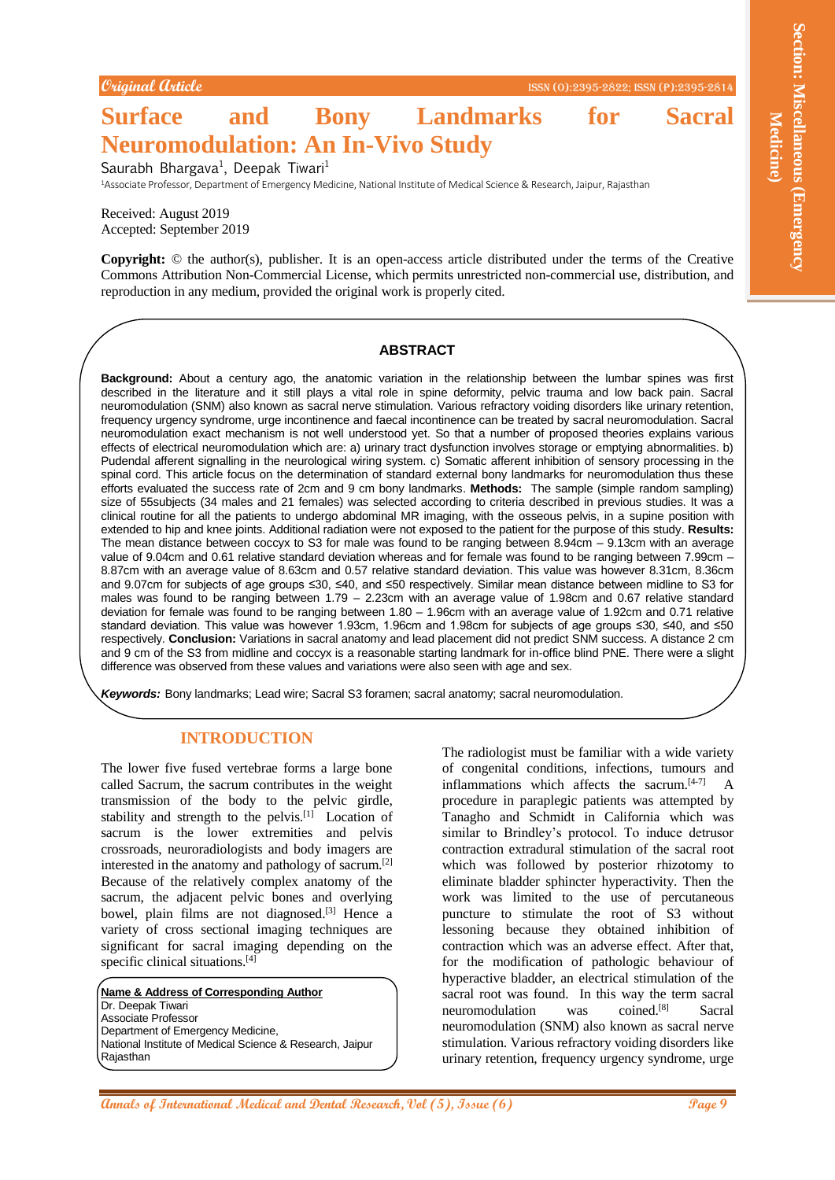# **Surface and Bony Landmarks for Sacral Neuromodulation: An In-Vivo Study**

Saurabh Bhargava<sup>1</sup>, Deepak Tiwari<sup>1</sup>

<sup>1</sup>Associate Professor, Department of Emergency Medicine, National Institute of Medical Science & Research, Jaipur, Rajasthan

Received: August 2019 Accepted: September 2019

**Copyright:** © the author(s), publisher. It is an open-access article distributed under the terms of the Creative Commons Attribution Non-Commercial License, which permits unrestricted non-commercial use, distribution, and reproduction in any medium, provided the original work is properly cited.

#### **ABSTRACT**

**Annal Columbia control in the Columbia control in the Columbia control in the Columbia control in the Columbia control in the Columbia control in the Columbia control in the Columbia control in the Columbia control in the Background:** About a century ago, the anatomic variation in the relationship between the lumbar spines was first described in the literature and it still plays a vital role in spine deformity, pelvic trauma and low back pain. Sacral neuromodulation (SNM) also known as sacral nerve stimulation. Various refractory voiding disorders like urinary retention, frequency urgency syndrome, urge incontinence and faecal incontinence can be treated by sacral neuromodulation. Sacral neuromodulation exact mechanism is not well understood yet. So that a number of proposed theories explains various effects of electrical neuromodulation which are: a) urinary tract dysfunction involves storage or emptying abnormalities. b) Pudendal afferent signalling in the neurological wiring system. c) Somatic afferent inhibition of sensory processing in the spinal cord. This article focus on the determination of standard external bony landmarks for neuromodulation thus these efforts evaluated the success rate of 2cm and 9 cm bony landmarks. **Methods:** The sample (simple random sampling) size of 55subjects (34 males and 21 females) was selected according to criteria described in previous studies. It was a clinical routine for all the patients to undergo abdominal MR imaging, with the osseous pelvis, in a supine position with extended to hip and knee joints. Additional radiation were not exposed to the patient for the purpose of this study. **Results:** The mean distance between coccyx to S3 for male was found to be ranging between 8.94cm – 9.13cm with an average value of 9.04cm and 0.61 relative standard deviation whereas and for female was found to be ranging between 7.99cm – 8.87cm with an average value of 8.63cm and 0.57 relative standard deviation. This value was however 8.31cm, 8.36cm and 9.07cm for subjects of age groups ≤30, ≤40, and ≤50 respectively. Similar mean distance between midline to S3 for males was found to be ranging between 1.79 – 2.23cm with an average value of 1.98cm and 0.67 relative standard deviation for female was found to be ranging between 1.80 – 1.96cm with an average value of 1.92cm and 0.71 relative standard deviation. This value was however 1.93cm, 1.96cm and 1.98cm for subjects of age groups ≤30, ≤40, and ≤50 respectively. **Conclusion:** Variations in sacral anatomy and lead placement did not predict SNM success. A distance 2 cm and 9 cm of the S3 from midline and coccyx is a reasonable starting landmark for in-office blind PNE. There were a slight difference was observed from these values and variations were also seen with age and sex.

*Keywords:* Bony landmarks; Lead wire; Sacral S3 foramen; sacral anatomy; sacral neuromodulation.

#### **INTRODUCTION**

The lower five fused vertebrae forms a large bone called Sacrum, the sacrum contributes in the weight transmission of the body to the pelvic girdle, stability and strength to the pelvis. $[1]$  Location of sacrum is the lower extremities and pelvis crossroads, neuroradiologists and body imagers are interested in the anatomy and pathology of sacrum.[2] Because of the relatively complex anatomy of the sacrum, the adjacent pelvic bones and overlying bowel, plain films are not diagnosed.<sup>[3]</sup> Hence a variety of cross sectional imaging techniques are significant for sacral imaging depending on the specific clinical situations.<sup>[4]</sup>

**Name & Address of Corresponding Author** Dr. Deepak Tiwari Associate Professor Department of Emergency Medicine, National Institute of Medical Science & Research, Jaipur Rajasthan

The radiologist must be familiar with a wide variety of congenital conditions, infections, tumours and inflammations which affects the sacrum.<sup>[4-7]</sup> A procedure in paraplegic patients was attempted by Tanagho and Schmidt in California which was similar to Brindley's protocol. To induce detrusor contraction extradural stimulation of the sacral root which was followed by posterior rhizotomy to eliminate bladder sphincter hyperactivity. Then the work was limited to the use of percutaneous puncture to stimulate the root of S3 without lessoning because they obtained inhibition of contraction which was an adverse effect. After that, for the modification of pathologic behaviour of hyperactive bladder, an electrical stimulation of the sacral root was found. In this way the term sacral neuromodulation was coined. Sacral neuromodulation (SNM) also known as sacral nerve stimulation. Various refractory voiding disorders like urinary retention, frequency urgency syndrome, urge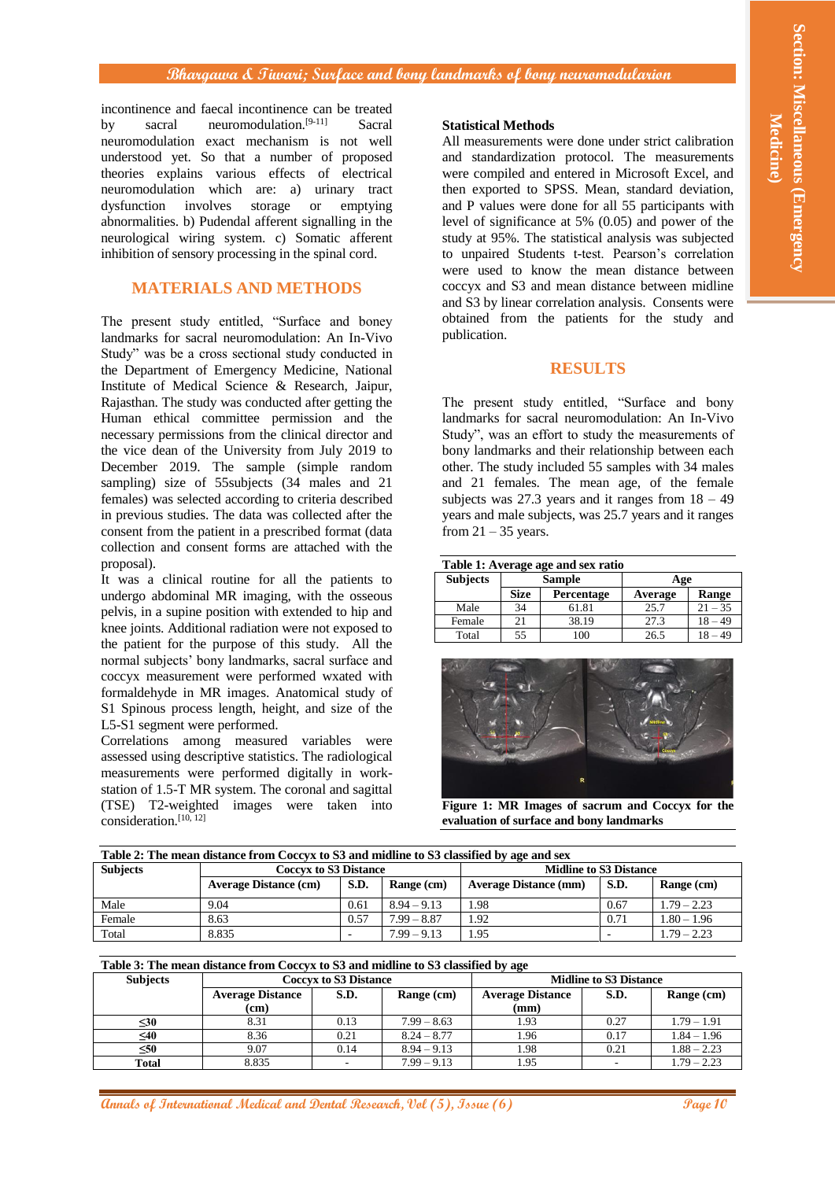# **Bhargawa & Tiwari; Surface and bony landmarks of bony neuromodularion**

incontinence and faecal incontinence can be treated by sacral neuromodulation.<sup>[9-11]</sup> Sacral neuromodulation exact mechanism is not well understood yet. So that a number of proposed theories explains various effects of electrical neuromodulation which are: a) urinary tract dysfunction involves storage or emptying abnormalities. b) Pudendal afferent signalling in the neurological wiring system. c) Somatic afferent inhibition of sensory processing in the spinal cord.

# **MATERIALS AND METHODS**

**Announce Controller Controller Controller Controller Controller Controller Controller Controller Controller Controller Controller Controller Controller Controller Controller Controller Controller Controller Controller Co** The present study entitled, "Surface and boney landmarks for sacral neuromodulation: An In-Vivo Study" was be a cross sectional study conducted in the Department of Emergency Medicine, National Institute of Medical Science & Research, Jaipur, Rajasthan. The study was conducted after getting the Human ethical committee permission and the necessary permissions from the clinical director and the vice dean of the University from July 2019 to December 2019. The sample (simple random sampling) size of 55subjects (34 males and 21 females) was selected according to criteria described in previous studies. The data was collected after the consent from the patient in a prescribed format (data collection and consent forms are attached with the proposal).

It was a clinical routine for all the patients to undergo abdominal MR imaging, with the osseous pelvis, in a supine position with extended to hip and knee joints. Additional radiation were not exposed to the patient for the purpose of this study. All the normal subjects' bony landmarks, sacral surface and coccyx measurement were performed wxated with formaldehyde in MR images. Anatomical study of S1 Spinous process length, height, and size of the L5-S1 segment were performed.

Correlations among measured variables were assessed using descriptive statistics. The radiological measurements were performed digitally in workstation of 1.5-T MR system. The coronal and sagittal (TSE) T2-weighted images were taken into consideration. [10, 12]

#### **Statistical Methods**

All measurements were done under strict calibration and standardization protocol. The measurements were compiled and entered in Microsoft Excel, and then exported to SPSS. Mean, standard deviation, and P values were done for all 55 participants with level of significance at 5% (0.05) and power of the study at 95%. The statistical analysis was subjected to unpaired Students t-test. Pearson's correlation were used to know the mean distance between coccyx and S3 and mean distance between midline and S3 by linear correlation analysis. Consents were obtained from the patients for the study and publication.

# **RESULTS**

The present study entitled, "Surface and bony landmarks for sacral neuromodulation: An In-Vivo Study", was an effort to study the measurements of bony landmarks and their relationship between each other. The study included 55 samples with 34 males and 21 females. The mean age, of the female subjects was  $27.3$  years and it ranges from  $18 - 49$ years and male subjects, was 25.7 years and it ranges from  $21 - 35$  years.

| Table 1: Average age and sex ratio |             |                   |         |           |  |  |  |  |
|------------------------------------|-------------|-------------------|---------|-----------|--|--|--|--|
| <b>Subjects</b>                    |             | <b>Sample</b>     | Age     |           |  |  |  |  |
|                                    | <b>Size</b> | <b>Percentage</b> | Average | Range     |  |  |  |  |
| Male                               | 34          | 61.81             | 25.7    | $21 - 35$ |  |  |  |  |
| Female                             | 21          | 38.19             | 27.3    | - 49      |  |  |  |  |
| Total                              | 55          | 100               | 26.5    | ЛC        |  |  |  |  |



**Figure 1: MR Images of sacrum and Coccyx for the evaluation of surface and bony landmarks**

| Table 2: The mean distance from Coccyx to S3 and midline to S3 classified by age and sex |                              |      |               |                               |                          |               |  |  |
|------------------------------------------------------------------------------------------|------------------------------|------|---------------|-------------------------------|--------------------------|---------------|--|--|
| <b>Subjects</b>                                                                          | <b>Coccyx to S3 Distance</b> |      |               | <b>Midline to S3 Distance</b> |                          |               |  |  |
|                                                                                          | <b>Average Distance (cm)</b> | S.D. | Range (cm)    | <b>Average Distance (mm)</b>  | S.D.                     | Range (cm)    |  |  |
| Male                                                                                     | 9.04                         | 0.61 | $8.94 - 9.13$ | 1.98                          | 0.67                     | $1.79 - 2.23$ |  |  |
| Female                                                                                   | 8.63                         | 0.57 | $7.99 - 8.87$ | 1.92                          | 0.71                     | $1.80 - 1.96$ |  |  |
| Total                                                                                    | 8.835                        |      | $7.99 - 9.13$ | 1.95                          | $\overline{\phantom{a}}$ | $1.79 - 2.23$ |  |  |

#### **Table 3: The mean distance from Coccyx to S3 and midline to S3 classified by age**

| <b>Subjects</b> | <b>Coccyx to S3 Distance</b>    |      |               | <b>Midline to S3 Distance</b>   |      |               |
|-----------------|---------------------------------|------|---------------|---------------------------------|------|---------------|
|                 | <b>Average Distance</b><br>(cm) | S.D. | Range (cm)    | <b>Average Distance</b><br>(mm) | S.D. | Range (cm)    |
| ≤30             | 8.31                            | 0.13 | $7.99 - 8.63$ | 1.93                            | 0.27 | $1.79 - 1.91$ |
| $\leq 40$       | 8.36                            | 0.21 | $8.24 - 8.77$ | 1.96                            | 0.17 | $1.84 - 1.96$ |
| $\leq 50$       | 9.07                            | 0.14 | $8.94 - 9.13$ | 1.98                            | 0.21 | $1.88 - 2.23$ |
| Total           | 8.835                           |      | $7.99 - 9.13$ | 1.95                            | ٠    | $1.79 - 2.23$ |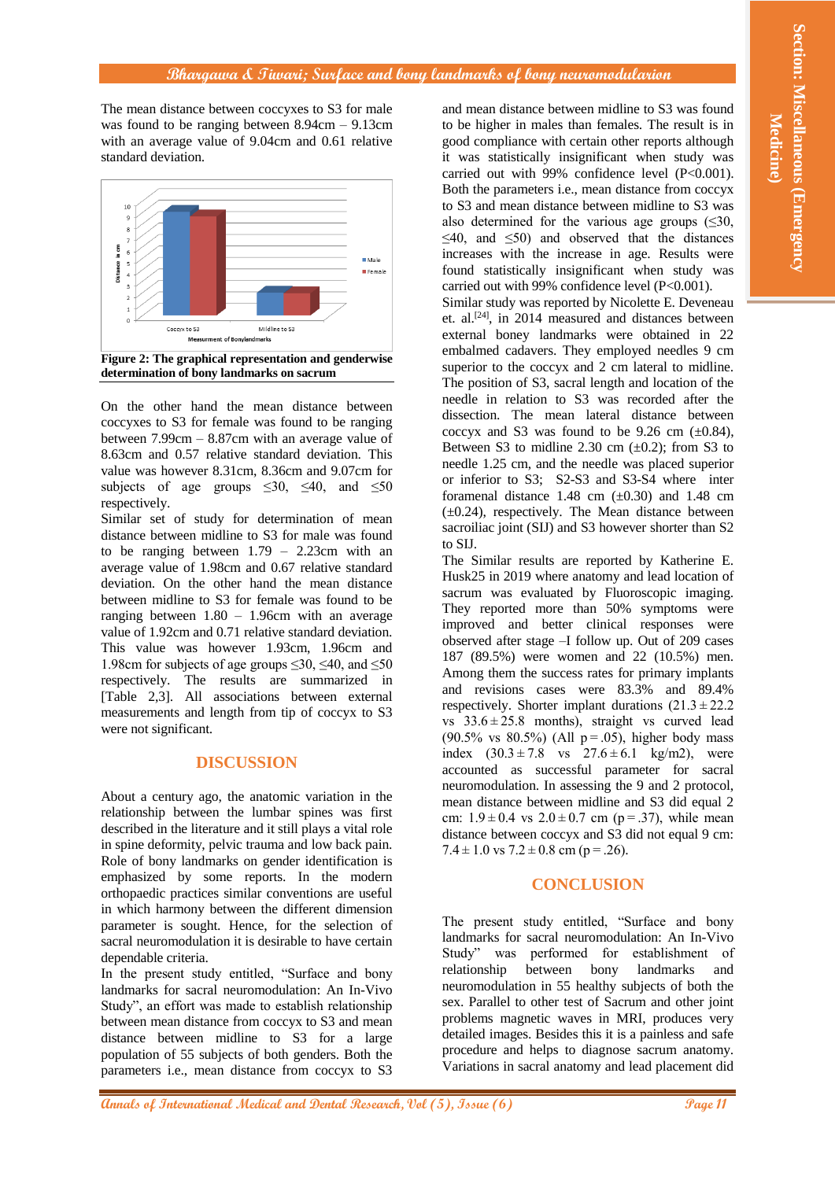#### **Bhargawa & Tiwari; Surface and bony landmarks of bony neuromodularion**

The mean distance between coccyxes to S3 for male was found to be ranging between 8.94cm – 9.13cm with an average value of 9.04cm and 0.61 relative standard deviation.



On the other hand the mean distance between coccyxes to S3 for female was found to be ranging between 7.99cm – 8.87cm with an average value of 8.63cm and 0.57 relative standard deviation. This value was however 8.31cm, 8.36cm and 9.07cm for subjects of age groups  $\leq 30$ ,  $\leq 40$ , and  $\leq 50$ respectively.

Similar set of study for determination of mean distance between midline to S3 for male was found to be ranging between 1.79 – 2.23cm with an average value of 1.98cm and 0.67 relative standard deviation. On the other hand the mean distance between midline to S3 for female was found to be ranging between 1.80 – 1.96cm with an average value of 1.92cm and 0.71 relative standard deviation. This value was however 1.93cm, 1.96cm and 1.98cm for subjects of age groups  $\leq 30$ ,  $\leq 40$ , and  $\leq 50$ respectively. The results are summarized in [Table 2,3]. All associations between external measurements and length from tip of coccyx to S3 were not significant.

### **DISCUSSION**

About a century ago, the anatomic variation in the relationship between the lumbar spines was first described in the literature and it still plays a vital role in spine deformity, pelvic trauma and low back pain. Role of bony landmarks on gender identification is emphasized by some reports. In the modern orthopaedic practices similar conventions are useful in which harmony between the different dimension parameter is sought. Hence, for the selection of sacral neuromodulation it is desirable to have certain dependable criteria.

In the present study entitled, "Surface and bony landmarks for sacral neuromodulation: An In-Vivo Study", an effort was made to establish relationship between mean distance from coccyx to S3 and mean distance between midline to S3 for a large population of 55 subjects of both genders. Both the parameters i.e., mean distance from coccyx to S3

and mean distance between midline to S3 was found to be higher in males than females. The result is in good compliance with certain other reports although it was statistically insignificant when study was carried out with 99% confidence level (P<0.001). Both the parameters i.e., mean distance from coccyx to S3 and mean distance between midline to S3 was also determined for the various age groups  $(\leq 30,$  $\leq 40$ , and  $\leq 50$ ) and observed that the distances increases with the increase in age. Results were found statistically insignificant when study was carried out with 99% confidence level (P<0.001).

Similar study was reported by Nicolette E. Deveneau et. al.<sup>[24]</sup>, in 2014 measured and distances between external boney landmarks were obtained in 22 embalmed cadavers. They employed needles 9 cm superior to the coccyx and 2 cm lateral to midline. The position of S3, sacral length and location of the needle in relation to S3 was recorded after the dissection. The mean lateral distance between coccyx and S3 was found to be 9.26 cm  $(\pm 0.84)$ , Between S3 to midline 2.30 cm  $(\pm 0.2)$ ; from S3 to needle 1.25 cm, and the needle was placed superior or inferior to S3; S2-S3 and S3-S4 where inter foramenal distance 1.48 cm  $(\pm 0.30)$  and 1.48 cm  $(\pm 0.24)$ , respectively. The Mean distance between sacroiliac joint (SIJ) and S3 however shorter than S2 to SIJ.

**Alternational Control of The page 10** of Control of The Page 11 and the Control of Control of Control of Control of Control of Control of Control of Control of Control of Control of Control of Control of Control of Contr The Similar results are reported by Katherine E. Husk25 in 2019 where anatomy and lead location of sacrum was evaluated by Fluoroscopic imaging. They reported more than 50% symptoms were improved and better clinical responses were observed after stage –I follow up. Out of 209 cases 187 (89.5%) were women and 22 (10.5%) men. Among them the success rates for primary implants and revisions cases were 83.3% and 89.4% respectively. Shorter implant durations  $(21.3 \pm 22.2$ vs  $33.6 \pm 25.8$  months), straight vs curved lead (90.5% vs 80.5%) (All  $p = .05$ ), higher body mass index  $(30.3 \pm 7.8 \text{ vs } 27.6 \pm 6.1 \text{ kg/m2})$ , were accounted as successful parameter for sacral neuromodulation. In assessing the 9 and 2 protocol, mean distance between midline and S3 did equal 2 cm:  $1.9 \pm 0.4$  vs  $2.0 \pm 0.7$  cm (p = .37), while mean distance between coccyx and S3 did not equal 9 cm:  $7.4 \pm 1.0$  vs  $7.2 \pm 0.8$  cm (p = .26).

# **CONCLUSION**

The present study entitled, "Surface and bony landmarks for sacral neuromodulation: An In-Vivo Study" was performed for establishment of relationship between bony landmarks and neuromodulation in 55 healthy subjects of both the sex. Parallel to other test of Sacrum and other joint problems magnetic waves in MRI, produces very detailed images. Besides this it is a painless and safe procedure and helps to diagnose sacrum anatomy. Variations in sacral anatomy and lead placement did